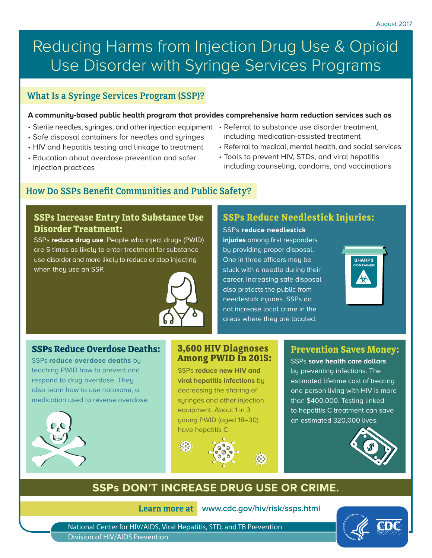# Reducing Harms from Injection Drug Use & Opioid Use Disorder with Syringe Services Programs

## What Is a Syringe Services Program (SSP)?

#### **A community-based public health program that provides comprehensive harm reduction services such as**

- Sterile needles, syringes, and other injection equipment Referral to substance use disorder treatment,
- Safe disposal containers for needles and syringes
- HIV and hepatitis testing and linkage to treatment
- Education about overdose prevention and safer injection practices
- including medication-assisted treatment
- Referral to medical, mental health, and social services
- Tools to prevent HIV, STDs, and viral hepatitis including counseling, condoms, and vaccinations

## How Do SSPs Benefit Communities and Public Safety?

#### **SSPs Increase Entry Into Substance Use Disorder Treatment:**

SSPs **reduce drug use**. People who inject drugs (PWID) are 5 times as likely to enter treatment for substance use disorder and more likely to reduce or stop injecting when they use an SSP.



## **SSPs Reduce Needlestick Injuries:**

SSPs **reduce needlestick injuries** among first responders by providing proper disposal. One in three officers may be stuck with a needle during their career. Increasing safe disposal also protects the public from needlestick injuries. SSPs do not increase local crime in the areas where they are located.



#### **SSPs Reduce Overdose Deaths:**

SSPs **reduce overdose deaths** by teaching PWID how to prevent and respond to drug overdose. They also learn how to use naloxone, a medication used to reverse overdose.



#### **3,600 HIV Diagnoses Among PWID In 2015:**

SSPs **reduce new HIV and viral hepatitis infections** by decreasing the sharing of syringes and other injection equipment. About 1 in 3 young PWID (aged 18–30) have hepatitis C.



### **Prevention Saves Money:**

SSPs **save health care dollars** by preventing infections. The estimated lifetime cost of treating one person living with HIV is more than \$400,000. Testing linked to hepatitis C treatment can save an estimated 320,000 lives.



## **SSPs DON'T INCREASE DRUG USE OR CRIME.**

**Learn more at www.cdc.gov/hiv/risk/ssps.html**

National Center for HIV/AIDS, Viral Hepatitis, STD, and TB Prevention Division of HIV/AIDS Prevention